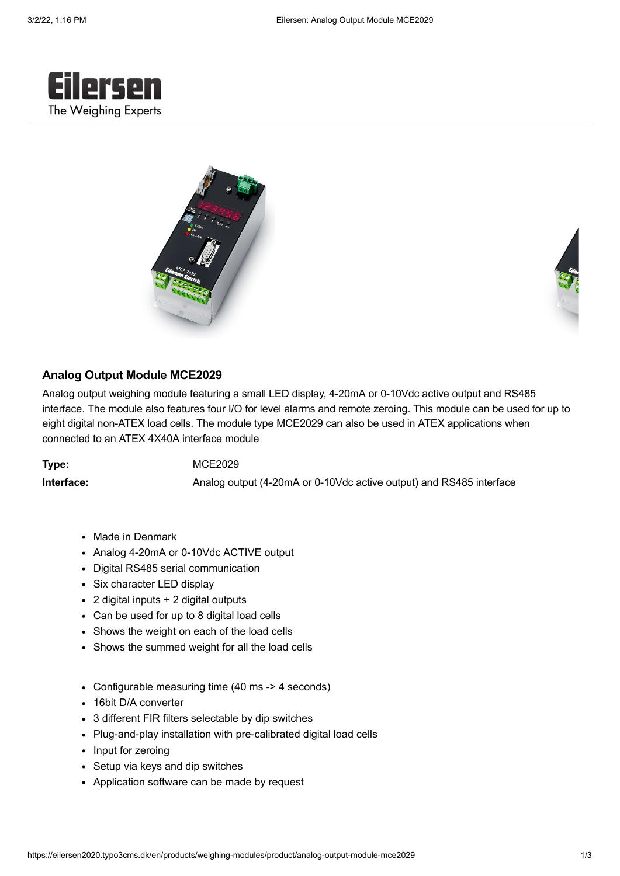





## **Analog Output Module MCE2029**

Analog output weighing module featuring a small LED display, 4-20mA or 0-10Vdc active output and RS485 interface. The module also features four I/O for level alarms and remote zeroing. This module can be used for up to eight digital non-ATEX load cells. The module type MCE2029 can also be used in ATEX applications when connected to an ATEX 4X40A interface module

**Type:** MCE2029

**Interface:** Analog output (4-20mA or 0-10Vdc active output) and RS485 interface

- Made in Denmark
- Analog 4-20mA or 0-10Vdc ACTIVE output
- Digital RS485 serial communication
- Six character LED display
- 2 digital inputs + 2 digital outputs
- Can be used for up to 8 digital load cells
- Shows the weight on each of the load cells
- Shows the summed weight for all the load cells
- Configurable measuring time (40 ms -> 4 seconds)
- 16bit D/A converter
- 3 different FIR filters selectable by dip switches
- Plug-and-play installation with pre-calibrated digital load cells
- Input for zeroing
- Setup via keys and dip switches
- Application software can be made by request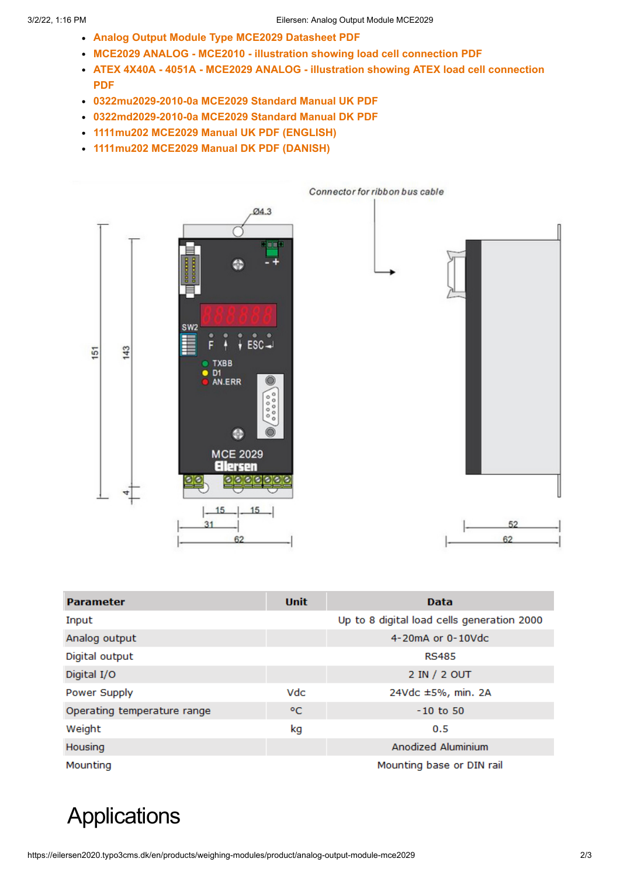- **[Analog Output Module Type MCE2029 Datasheet PDF](https://www.eilersen.com/fileadmin/user_upload/download/Datasheets/Modules/List_all/Analog_Output_Module_Type_MCE2029_Datasheet.pdf)**
- **[MCE2029 ANALOG MCE2010 illustration showing load cell connection PDF](https://www.eilersen.com/fileadmin/user_upload/download/Pictures/Modules/List_all/MCE2029_ANALOG_-_MCE2010_-_illustration_showing_load_cell_connection.pdf)**
- **[ATEX 4X40A 4051A MCE2029 ANALOG illustration showing ATEX load cell connection](https://www.eilersen.com/fileadmin/user_upload/download/Pictures/Modules/List_all/ATEX_4X40A_-_4051A_-_MCE2029_ANALOG_-_illustration_showing_ATEX_load_cell_connection.pdf) PDF**
- **[0322mu2029-2010-0a MCE2029 Standard Manual UK PDF](https://www.eilersen.com/fileadmin/user_upload/download/Manuals/Modules/List_all/0322mu2029-2010-0a_MCE2029_Standard_Manual_UK.pdf)**
- **[0322md2029-2010-0a MCE2029 Standard Manual DK PDF](https://www.eilersen.com/fileadmin/user_upload/download/Manuals/Modules/List_all/0322md2029-2010-0a_MCE2029_Standard_Manual_DK.pdf)**
- **[1111mu202 MCE2029 Manual UK PDF](https://www.eilersen.com/fileadmin/user_upload/download/Datasheets/Modules/List_all/1111mu2029-1v0d.pdf) [\(ENGLISH\)](https://www.eilersen.com/fileadmin/user_upload/download/Datasheets/Modules/List_all/1111mu2029-1v0d.pdf)**
- **[1111mu202 MCE2029 Manual DK PDF](https://www.eilersen.com/fileadmin/user_upload/download/Datasheets/Modules/List_all/1111md2029-1v0d.pdf) [\(DANISH\)](https://www.eilersen.com/fileadmin/user_upload/download/Datasheets/Modules/List_all/1111md2029-1v0d.pdf)**



| <b>Parameter</b>            | <b>Unit</b> | <b>Data</b>                                |
|-----------------------------|-------------|--------------------------------------------|
| Input                       |             | Up to 8 digital load cells generation 2000 |
| Analog output               |             | 4-20mA or 0-10Vdc                          |
| Digital output              |             | <b>RS485</b>                               |
| Digital I/O                 |             | 2 IN / 2 OUT                               |
| Power Supply                | Vdc         | 24Vdc ±5%, min. 2A                         |
| Operating temperature range | °C          | $-10$ to 50                                |
| Weight                      | kg          | 0.5                                        |
| Housing                     |             | Anodized Aluminium                         |
| Mounting                    |             | Mounting base or DIN rail                  |

## **Applications**